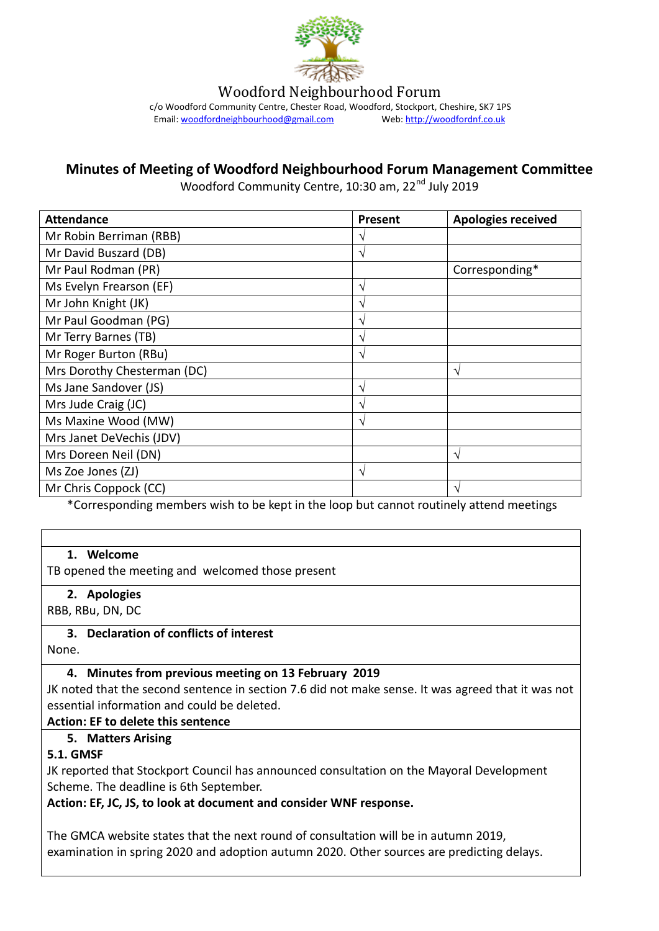

Woodford Neighbourhood Forum

c/o Woodford Community Centre, Chester Road, Woodford, Stockport, Cheshire, SK7 1PS<br>Email: woodfordneighbourhood@gmail.com Web: http://woodfordnf.co.uk Email: woodfordneighbourhood@gmail.com

#### **Minutes of Meeting of Woodford Neighbourhood Forum Management Committee**

Woodford Community Centre, 10:30 am, 22<sup>nd</sup> July 2019

| <b>Attendance</b>           | Present | <b>Apologies received</b> |
|-----------------------------|---------|---------------------------|
| Mr Robin Berriman (RBB)     | ٦       |                           |
| Mr David Buszard (DB)       | ٦       |                           |
| Mr Paul Rodman (PR)         |         | Corresponding*            |
| Ms Evelyn Frearson (EF)     | V       |                           |
| Mr John Knight (JK)         | V       |                           |
| Mr Paul Goodman (PG)        | ٦       |                           |
| Mr Terry Barnes (TB)        | ٦       |                           |
| Mr Roger Burton (RBu)       | ٦       |                           |
| Mrs Dorothy Chesterman (DC) |         | V                         |
| Ms Jane Sandover (JS)       | V       |                           |
| Mrs Jude Craig (JC)         | N       |                           |
| Ms Maxine Wood (MW)         | ٦       |                           |
| Mrs Janet DeVechis (JDV)    |         |                           |
| Mrs Doreen Neil (DN)        |         | N                         |
| Ms Zoe Jones (ZJ)           | N       |                           |
| Mr Chris Coppock (CC)       |         | $\mathcal{L}$             |

\*Corresponding members wish to be kept in the loop but cannot routinely attend meetings

#### **1. Welcome**

TB opened the meeting and welcomed those present

#### **2. Apologies**

RBB, RBu, DN, DC

#### **3. Declaration of conflicts of interest**

None.

#### **4. Minutes from previous meeting on 13 February 2019**

JK noted that the second sentence in section 7.6 did not make sense. It was agreed that it was not essential information and could be deleted.

#### **Action: EF to delete this sentence**

#### **5. Matters Arising**

#### **5.1. GMSF**

JK reported that Stockport Council has announced consultation on the Mayoral Development Scheme. The deadline is 6th September.

#### **Action: EF, JC, JS, to look at document and consider WNF response.**

The GMCA website states that the next round of consultation will be in autumn 2019, examination in spring 2020 and adoption autumn 2020. Other sources are predicting delays.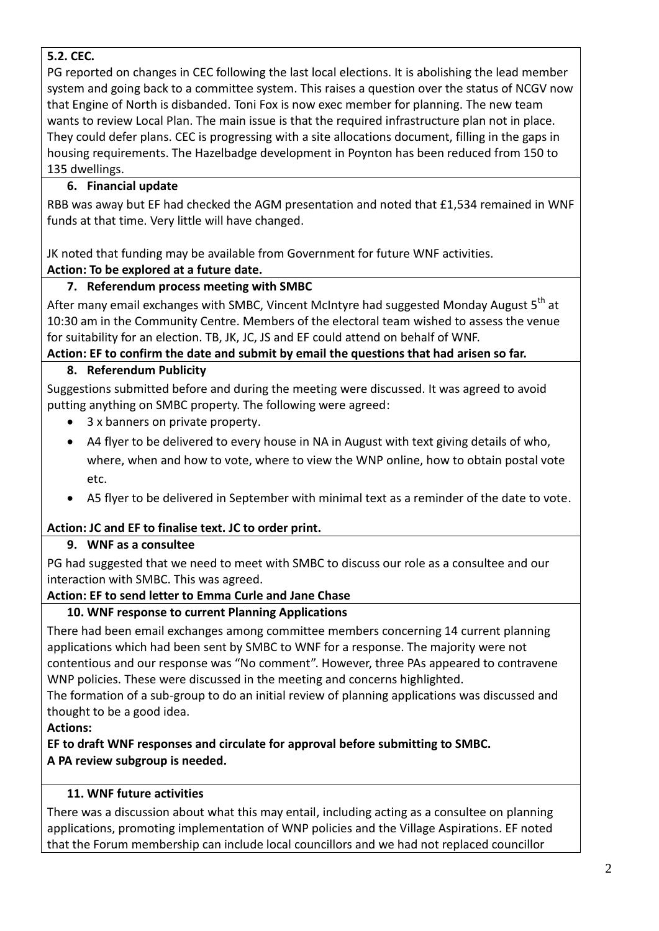### **5.2. CEC.**

PG reported on changes in CEC following the last local elections. It is abolishing the lead member system and going back to a committee system. This raises a question over the status of NCGV now that Engine of North is disbanded. Toni Fox is now exec member for planning. The new team wants to review Local Plan. The main issue is that the required infrastructure plan not in place. They could defer plans. CEC is progressing with a site allocations document, filling in the gaps in housing requirements. The Hazelbadge development in Poynton has been reduced from 150 to 135 dwellings.

### **6. Financial update**

RBB was away but EF had checked the AGM presentation and noted that £1,534 remained in WNF funds at that time. Very little will have changed.

JK noted that funding may be available from Government for future WNF activities.

### **Action: To be explored at a future date.**

# **7. Referendum process meeting with SMBC**

After many email exchanges with SMBC, Vincent McIntyre had suggested Monday August 5<sup>th</sup> at 10:30 am in the Community Centre. Members of the electoral team wished to assess the venue for suitability for an election. TB, JK, JC, JS and EF could attend on behalf of WNF.

**Action: EF to confirm the date and submit by email the questions that had arisen so far.**

### **8. Referendum Publicity**

Suggestions submitted before and during the meeting were discussed. It was agreed to avoid putting anything on SMBC property. The following were agreed:

- 3 x banners on private property.
- A4 flyer to be delivered to every house in NA in August with text giving details of who, where, when and how to vote, where to view the WNP online, how to obtain postal vote etc.
- A5 flyer to be delivered in September with minimal text as a reminder of the date to vote.

# **Action: JC and EF to finalise text. JC to order print.**

### **9. WNF as a consultee**

PG had suggested that we need to meet with SMBC to discuss our role as a consultee and our interaction with SMBC. This was agreed.

### **Action: EF to send letter to Emma Curle and Jane Chase**

### **10. WNF response to current Planning Applications**

There had been email exchanges among committee members concerning 14 current planning applications which had been sent by SMBC to WNF for a response. The majority were not contentious and our response was "No comment". However, three PAs appeared to contravene WNP policies. These were discussed in the meeting and concerns highlighted.

The formation of a sub-group to do an initial review of planning applications was discussed and thought to be a good idea.

### **Actions:**

**EF to draft WNF responses and circulate for approval before submitting to SMBC. A PA review subgroup is needed.**

### **11. WNF future activities**

There was a discussion about what this may entail, including acting as a consultee on planning applications, promoting implementation of WNP policies and the Village Aspirations. EF noted that the Forum membership can include local councillors and we had not replaced councillor